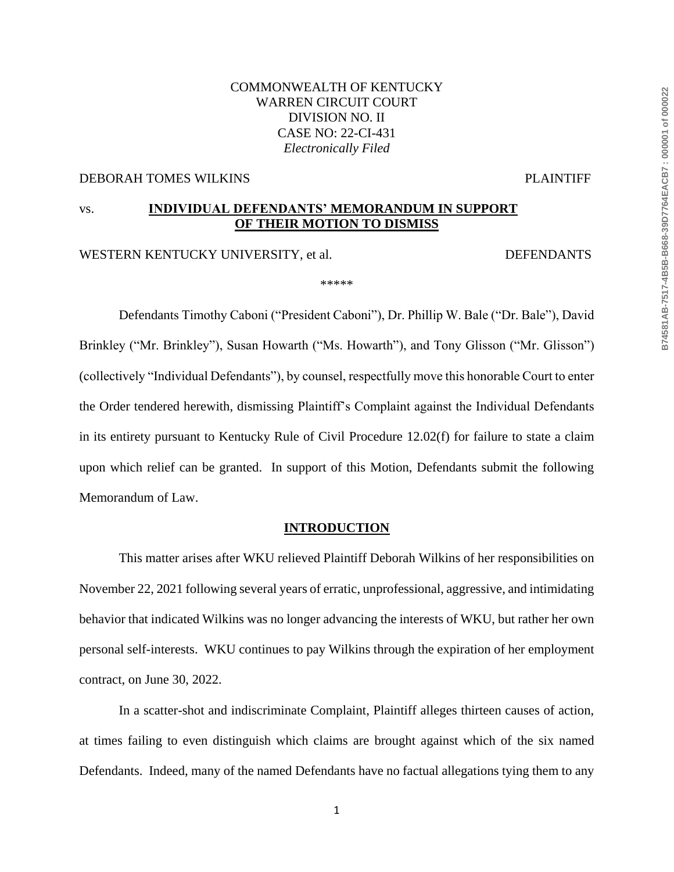# COMMONWEALTH OF KENTUCKY WARREN CIRCUIT COURT DIVISION NO. II CASE NO: 22-CI-431 *Electronically Filed*

#### DEBORAH TOMES WILKINS PLAINTIFF

# vs. **INDIVIDUAL DEFENDANTS' MEMORANDUM IN SUPPORT OF THEIR MOTION TO DISMISS**

## WESTERN KENTUCKY UNIVERSITY, et al. DEFENDANTS

\*\*\*\*\*

Defendants Timothy Caboni ("President Caboni"), Dr. Phillip W. Bale ("Dr. Bale"), David Brinkley ("Mr. Brinkley"), Susan Howarth ("Ms. Howarth"), and Tony Glisson ("Mr. Glisson") (collectively "Individual Defendants"), by counsel, respectfully move this honorable Court to enter the Order tendered herewith, dismissing Plaintiff's Complaint against the Individual Defendants in its entirety pursuant to Kentucky Rule of Civil Procedure 12.02(f) for failure to state a claim upon which relief can be granted. In support of this Motion, Defendants submit the following Memorandum of Law.

#### **INTRODUCTION**

This matter arises after WKU relieved Plaintiff Deborah Wilkins of her responsibilities on November 22, 2021 following several years of erratic, unprofessional, aggressive, and intimidating behavior that indicated Wilkins was no longer advancing the interests of WKU, but rather her own personal self-interests. WKU continues to pay Wilkins through the expiration of her employment contract, on June 30, 2022.

In a scatter-shot and indiscriminate Complaint, Plaintiff alleges thirteen causes of action, at times failing to even distinguish which claims are brought against which of the six named Defendants. Indeed, many of the named Defendants have no factual allegations tying them to any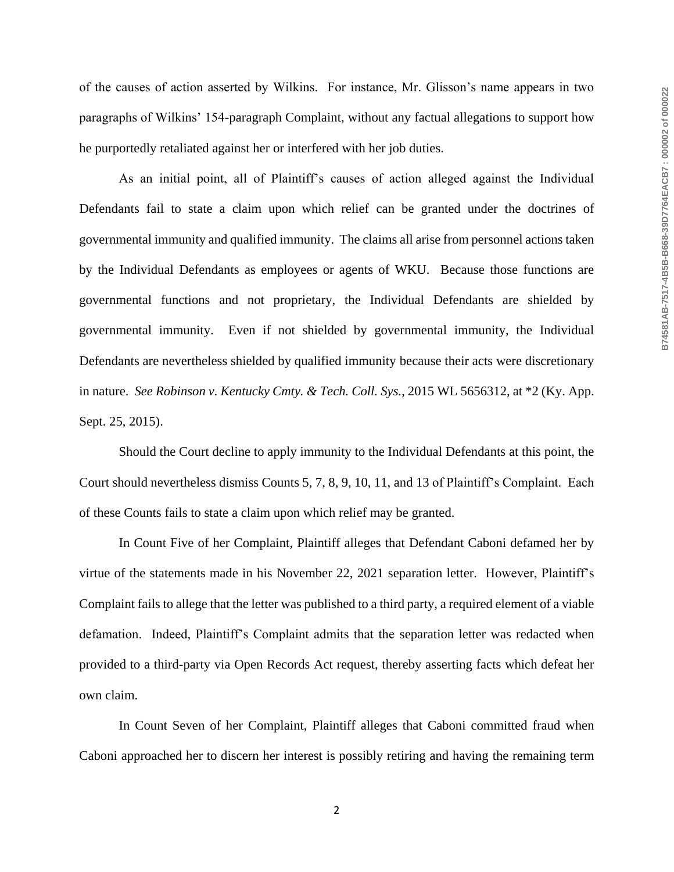of the causes of action asserted by Wilkins. For instance, Mr. Glisson's name appears in two paragraphs of Wilkins' 154-paragraph Complaint, without any factual allegations to support how he purportedly retaliated against her or interfered with her job duties.

As an initial point, all of Plaintiff's causes of action alleged against the Individual Defendants fail to state a claim upon which relief can be granted under the doctrines of governmental immunity and qualified immunity. The claims all arise from personnel actions taken by the Individual Defendants as employees or agents of WKU. Because those functions are governmental functions and not proprietary, the Individual Defendants are shielded by governmental immunity. Even if not shielded by governmental immunity, the Individual Defendants are nevertheless shielded by qualified immunity because their acts were discretionary in nature. *See Robinson v. Kentucky Cmty. & Tech. Coll. Sys.*, 2015 WL 5656312, at \*2 (Ky. App. Sept. 25, 2015).

Should the Court decline to apply immunity to the Individual Defendants at this point, the Court should nevertheless dismiss Counts 5, 7, 8, 9, 10, 11, and 13 of Plaintiff's Complaint. Each of these Counts fails to state a claim upon which relief may be granted.

In Count Five of her Complaint, Plaintiff alleges that Defendant Caboni defamed her by virtue of the statements made in his November 22, 2021 separation letter. However, Plaintiff's Complaint fails to allege that the letter was published to a third party, a required element of a viable defamation. Indeed, Plaintiff's Complaint admits that the separation letter was redacted when provided to a third-party via Open Records Act request, thereby asserting facts which defeat her own claim.

In Count Seven of her Complaint, Plaintiff alleges that Caboni committed fraud when Caboni approached her to discern her interest is possibly retiring and having the remaining term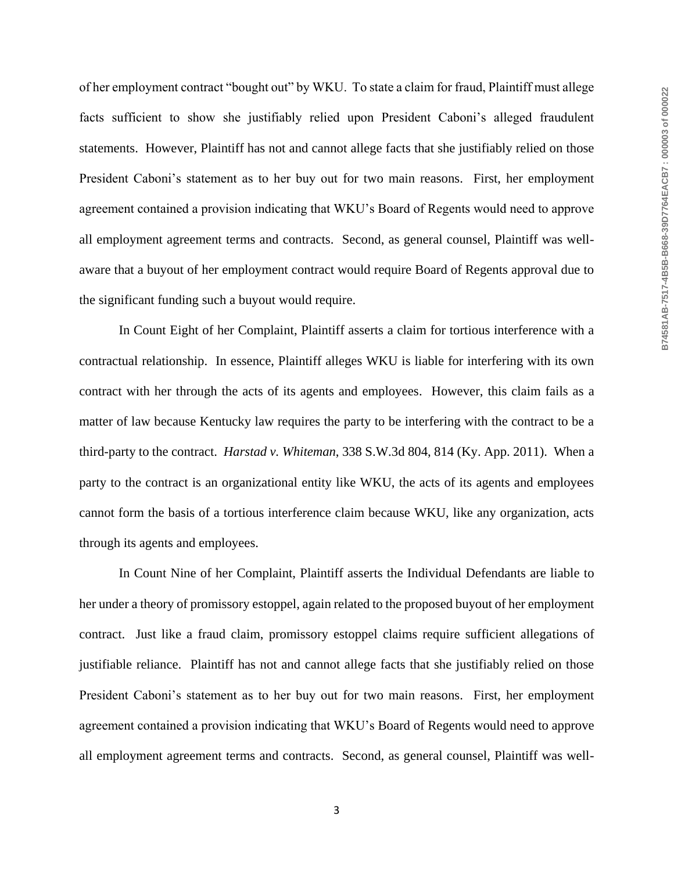of her employment contract "bought out" by WKU. To state a claim for fraud, Plaintiff must allege facts sufficient to show she justifiably relied upon President Caboni's alleged fraudulent statements. However, Plaintiff has not and cannot allege facts that she justifiably relied on those President Caboni's statement as to her buy out for two main reasons. First, her employment agreement contained a provision indicating that WKU's Board of Regents would need to approve all employment agreement terms and contracts. Second, as general counsel, Plaintiff was wellaware that a buyout of her employment contract would require Board of Regents approval due to the significant funding such a buyout would require.

In Count Eight of her Complaint, Plaintiff asserts a claim for tortious interference with a contractual relationship. In essence, Plaintiff alleges WKU is liable for interfering with its own contract with her through the acts of its agents and employees. However, this claim fails as a matter of law because Kentucky law requires the party to be interfering with the contract to be a third-party to the contract. *Harstad v. Whiteman*, 338 S.W.3d 804, 814 (Ky. App. 2011). When a party to the contract is an organizational entity like WKU, the acts of its agents and employees cannot form the basis of a tortious interference claim because WKU, like any organization, acts through its agents and employees.

In Count Nine of her Complaint, Plaintiff asserts the Individual Defendants are liable to her under a theory of promissory estoppel, again related to the proposed buyout of her employment contract. Just like a fraud claim, promissory estoppel claims require sufficient allegations of justifiable reliance. Plaintiff has not and cannot allege facts that she justifiably relied on those President Caboni's statement as to her buy out for two main reasons. First, her employment agreement contained a provision indicating that WKU's Board of Regents would need to approve all employment agreement terms and contracts. Second, as general counsel, Plaintiff was well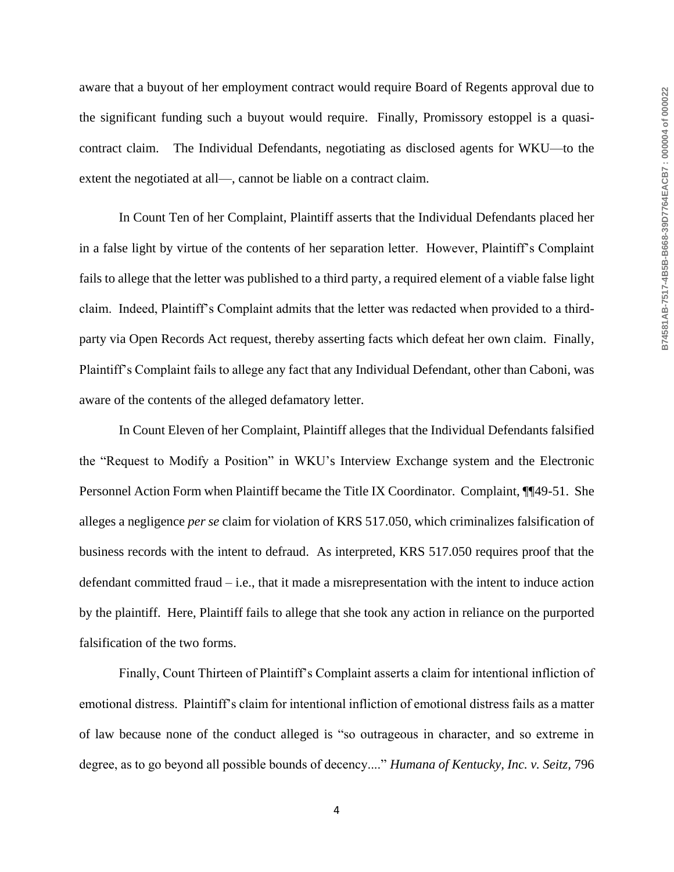aware that a buyout of her employment contract would require Board of Regents approval due to the significant funding such a buyout would require. Finally, Promissory estoppel is a quasicontract claim. The Individual Defendants, negotiating as disclosed agents for WKU—to the extent the negotiated at all—, cannot be liable on a contract claim.

In Count Ten of her Complaint, Plaintiff asserts that the Individual Defendants placed her in a false light by virtue of the contents of her separation letter. However, Plaintiff's Complaint fails to allege that the letter was published to a third party, a required element of a viable false light claim. Indeed, Plaintiff's Complaint admits that the letter was redacted when provided to a thirdparty via Open Records Act request, thereby asserting facts which defeat her own claim. Finally, Plaintiff's Complaint fails to allege any fact that any Individual Defendant, other than Caboni, was aware of the contents of the alleged defamatory letter.

In Count Eleven of her Complaint, Plaintiff alleges that the Individual Defendants falsified the "Request to Modify a Position" in WKU's Interview Exchange system and the Electronic Personnel Action Form when Plaintiff became the Title IX Coordinator. Complaint, ¶¶49-51. She alleges a negligence *per se* claim for violation of KRS 517.050, which criminalizes falsification of business records with the intent to defraud. As interpreted, KRS 517.050 requires proof that the defendant committed fraud – i.e., that it made a misrepresentation with the intent to induce action by the plaintiff. Here, Plaintiff fails to allege that she took any action in reliance on the purported falsification of the two forms.

Finally, Count Thirteen of Plaintiff's Complaint asserts a claim for intentional infliction of emotional distress. Plaintiff's claim for intentional infliction of emotional distress fails as a matter of law because none of the conduct alleged is "so outrageous in character, and so extreme in degree, as to go beyond all possible bounds of decency...." *Humana of Kentucky, Inc. v. Seitz,* 796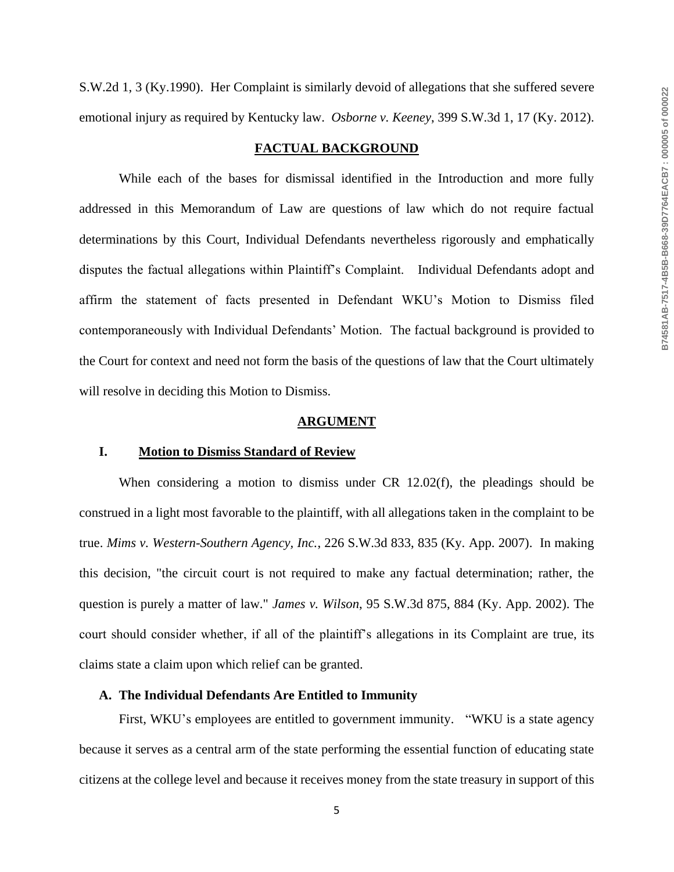S.W.2d 1, 3 (Ky.1990). Her Complaint is similarly devoid of allegations that she suffered severe emotional injury as required by Kentucky law. *Osborne v. Keeney*, 399 S.W.3d 1, 17 (Ky. 2012).

#### **FACTUAL BACKGROUND**

While each of the bases for dismissal identified in the Introduction and more fully addressed in this Memorandum of Law are questions of law which do not require factual determinations by this Court, Individual Defendants nevertheless rigorously and emphatically disputes the factual allegations within Plaintiff's Complaint. Individual Defendants adopt and affirm the statement of facts presented in Defendant WKU's Motion to Dismiss filed contemporaneously with Individual Defendants' Motion. The factual background is provided to the Court for context and need not form the basis of the questions of law that the Court ultimately will resolve in deciding this Motion to Dismiss.

#### **ARGUMENT**

#### **I. Motion to Dismiss Standard of Review**

When considering a motion to dismiss under CR 12.02(f), the pleadings should be construed in a light most favorable to the plaintiff, with all allegations taken in the complaint to be true. *Mims v. Western-Southern Agency, Inc.*, 226 S.W.3d 833, 835 (Ky. App. 2007). In making this decision, "the circuit court is not required to make any factual determination; rather, the question is purely a matter of law." *James v. Wilson*, 95 S.W.3d 875, 884 (Ky. App. 2002). The court should consider whether, if all of the plaintiff's allegations in its Complaint are true, its claims state a claim upon which relief can be granted.

#### **A. The Individual Defendants Are Entitled to Immunity**

First, WKU's employees are entitled to government immunity. "WKU is a state agency because it serves as a central arm of the state performing the essential function of educating state citizens at the college level and because it receives money from the state treasury in support of this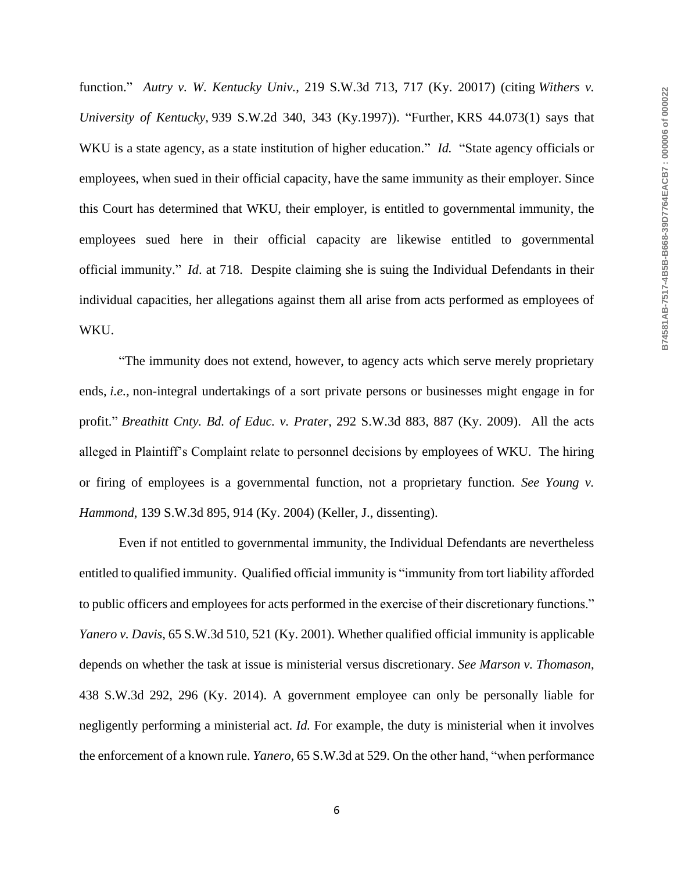function." *Autry v. W. Kentucky Univ.*, 219 S.W.3d 713, 717 (Ky. 20017) (citing *Withers v. University of Kentucky,* 939 S.W.2d 340, 343 (Ky.1997)). "Further, KRS 44.073(1) says that WKU is a state agency, as a state institution of higher education." *Id.* "State agency officials or employees, when sued in their official capacity, have the same immunity as their employer. Since this Court has determined that WKU, their employer, is entitled to governmental immunity, the employees sued here in their official capacity are likewise entitled to governmental official immunity." *Id*. at 718. Despite claiming she is suing the Individual Defendants in their individual capacities, her allegations against them all arise from acts performed as employees of WKU.

"The immunity does not extend, however, to agency acts which serve merely proprietary ends, *i.e.,* non-integral undertakings of a sort private persons or businesses might engage in for profit." *Breathitt Cnty. Bd. of Educ. v. Prater*, 292 S.W.3d 883, 887 (Ky. 2009). All the acts alleged in Plaintiff's Complaint relate to personnel decisions by employees of WKU. The hiring or firing of employees is a governmental function, not a proprietary function. *See Young v. Hammond*, 139 S.W.3d 895, 914 (Ky. 2004) (Keller, J., dissenting).

Even if not entitled to governmental immunity, the Individual Defendants are nevertheless entitled to qualified immunity. Qualified official immunity is "immunity from tort liability afforded to public officers and employees for acts performed in the exercise of their discretionary functions." *Yanero v. Davis*, 65 S.W.3d 510*,* 521 (Ky. 2001). Whether qualified official immunity is applicable depends on whether the task at issue is ministerial versus discretionary. *See Marson v. Thomason*, 438 S.W.3d 292, 296 (Ky. 2014). A government employee can only be personally liable for negligently performing a ministerial act. *Id.* For example, the duty is ministerial when it involves the enforcement of a known rule. *Yanero*, 65 S.W.3d at 529. On the other hand, "when performance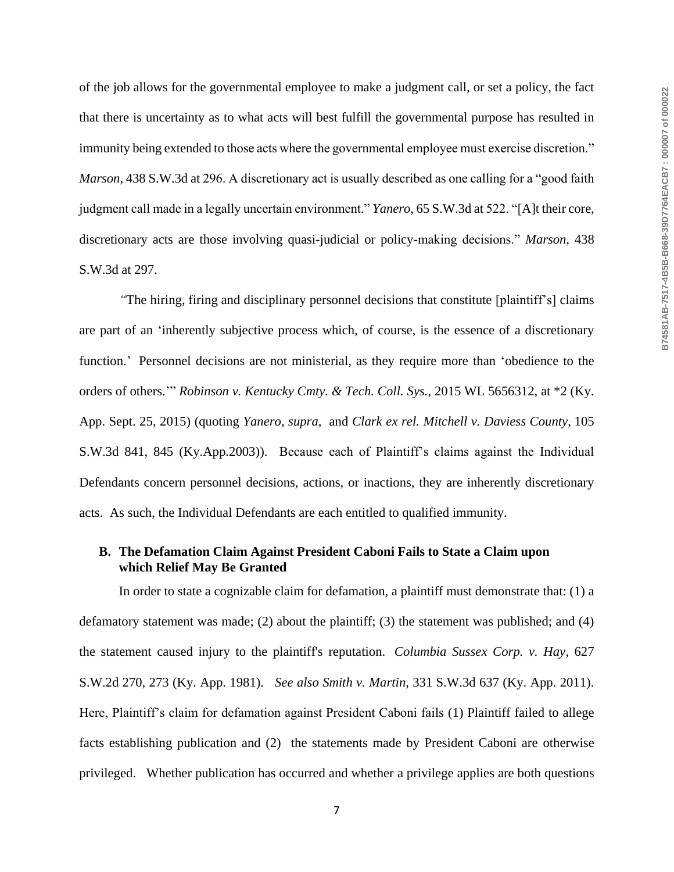of the job allows for the governmental employee to make a judgment call, or set a policy, the fact that there is uncertainty as to what acts will best fulfill the governmental purpose has resulted in immunity being extended to those acts where the governmental employee must exercise discretion." *Marson*, 438 S.W.3d at 296. A discretionary act is usually described as one calling for a "good faith judgment call made in a legally uncertain environment." *Yanero*, 65 S.W.3d at 522. "[A]t their core, discretionary acts are those involving quasi-judicial or policy-making decisions." *Marson*, 438 S.W.3d at 297.

*"*The hiring, firing and disciplinary personnel decisions that constitute [plaintiff's] claims are part of an 'inherently subjective process which, of course, is the essence of a discretionary function.' Personnel decisions are not ministerial, as they require more than 'obedience to the orders of others.'" *Robinson v. Kentucky Cmty. & Tech. Coll. Sys.*, 2015 WL 5656312, at \*2 (Ky. App. Sept. 25, 2015) (quoting *Yanero*, *supra*, and *Clark ex rel. Mitchell v. Daviess County,* 105 S.W.3d 841, 845 (Ky.App.2003)). Because each of Plaintiff's claims against the Individual Defendants concern personnel decisions, actions, or inactions, they are inherently discretionary acts. As such, the Individual Defendants are each entitled to qualified immunity.

### **B. The Defamation Claim Against President Caboni Fails to State a Claim upon which Relief May Be Granted**

In order to state a cognizable claim for defamation, a plaintiff must demonstrate that: (1) a defamatory statement was made; (2) about the plaintiff; (3) the statement was published; and (4) the statement caused injury to the plaintiff's reputation. *Columbia Sussex Corp. v. Hay,* 627 S.W.2d 270, 273 (Ky. App. 1981). *See also Smith v. Martin*, 331 S.W.3d 637 (Ky. App. 2011). Here, Plaintiff's claim for defamation against President Caboni fails (1) Plaintiff failed to allege facts establishing publication and (2) the statements made by President Caboni are otherwise privileged. Whether publication has occurred and whether a privilege applies are both questions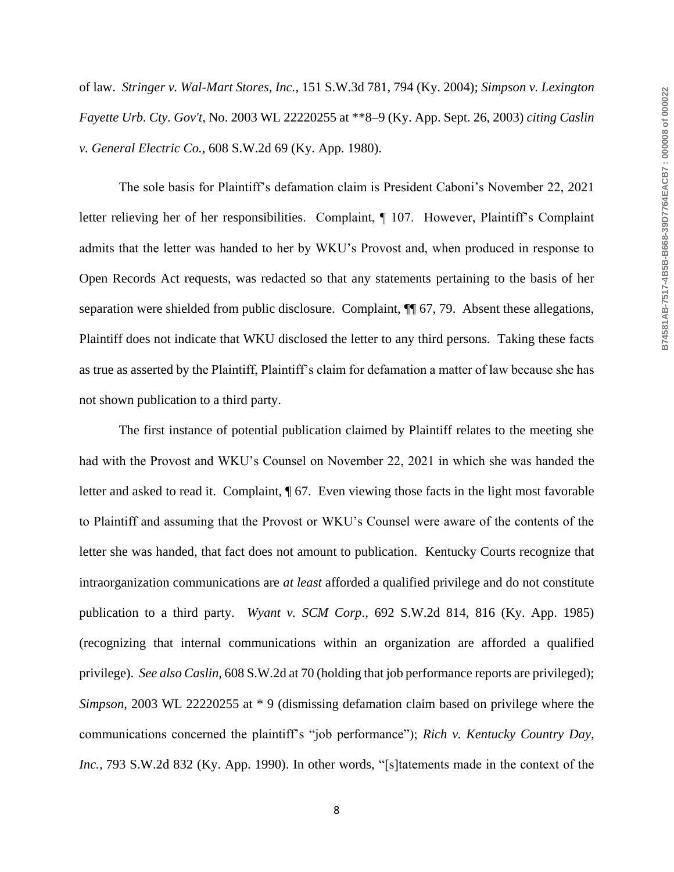of law. *Stringer v. Wal-Mart Stores, Inc.*, 151 S.W.3d 781, 794 (Ky. 2004); *Simpson v. Lexington Fayette Urb. Cty. Gov't,* No. 2003 WL 22220255 at \*\*8–9 (Ky. App. Sept. 26, 2003) *citing Caslin v. General Electric Co.,* 608 S.W.2d 69 (Ky. App. 1980).

The sole basis for Plaintiff's defamation claim is President Caboni's November 22, 2021 letter relieving her of her responsibilities. Complaint, ¶ 107. However, Plaintiff's Complaint admits that the letter was handed to her by WKU's Provost and, when produced in response to Open Records Act requests, was redacted so that any statements pertaining to the basis of her separation were shielded from public disclosure. Complaint,  $\P$  67, 79. Absent these allegations, Plaintiff does not indicate that WKU disclosed the letter to any third persons. Taking these facts as true as asserted by the Plaintiff, Plaintiff's claim for defamation a matter of law because she has not shown publication to a third party.

The first instance of potential publication claimed by Plaintiff relates to the meeting she had with the Provost and WKU's Counsel on November 22, 2021 in which she was handed the letter and asked to read it. Complaint, ¶ 67. Even viewing those facts in the light most favorable to Plaintiff and assuming that the Provost or WKU's Counsel were aware of the contents of the letter she was handed, that fact does not amount to publication. Kentucky Courts recognize that intraorganization communications are *at least* afforded a qualified privilege and do not constitute publication to a third party. *Wyant v. SCM Corp*., 692 S.W.2d 814, 816 (Ky. App. 1985) (recognizing that internal communications within an organization are afforded a qualified privilege). *See also Caslin,* 608 S.W.2d at 70 (holding that job performance reports are privileged); *Simpson*, 2003 WL 22220255 at \* 9 (dismissing defamation claim based on privilege where the communications concerned the plaintiff's "job performance"); *Rich v. Kentucky Country Day, Inc.,* 793 S.W.2d 832 (Ky. App. 1990). In other words, "[s]tatements made in the context of the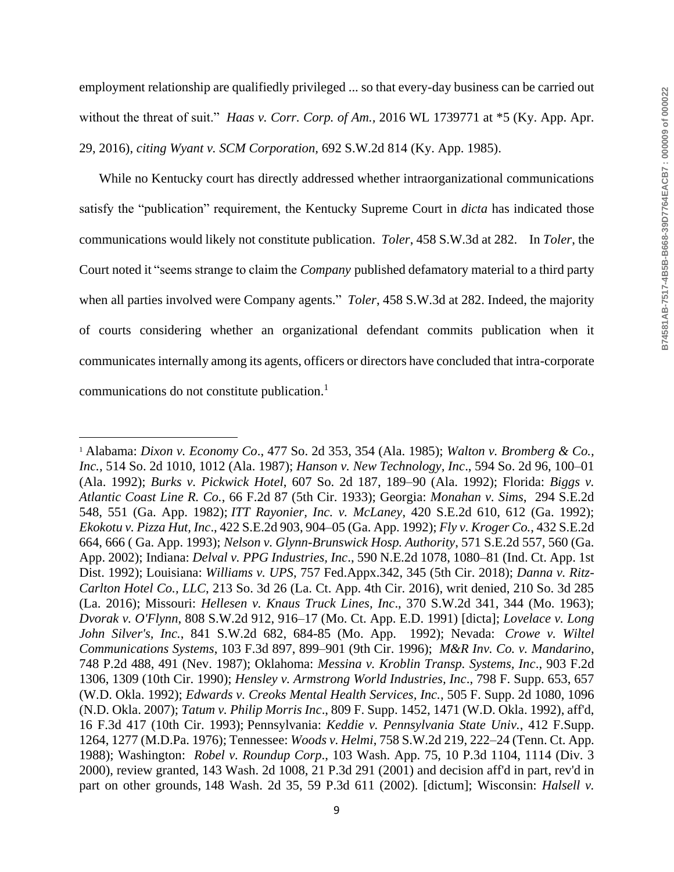employment relationship are qualifiedly privileged ... so that every-day business can be carried out without the threat of suit." *Haas v. Corr. Corp. of Am.,* 2016 WL 1739771 at \*5 (Ky. App. Apr. 29, 2016), *citing Wyant v. SCM Corporation,* 692 S.W.2d 814 (Ky. App. 1985).

While no Kentucky court has directly addressed whether intraorganizational communications satisfy the "publication" requirement, the Kentucky Supreme Court in *dicta* has indicated those communications would likely not constitute publication. *Toler*, 458 S.W.3d at 282. In *Toler*, the Court noted it "seems strange to claim the *Company* published defamatory material to a third party when all parties involved were Company agents." *Toler*, 458 S.W.3d at 282. Indeed, the majority of courts considering whether an organizational defendant commits publication when it communicates internally among its agents, officers or directors have concluded that intra-corporate communications do not constitute publication.<sup>1</sup>

 $\overline{a}$ 

<sup>1</sup> Alabama: *Dixon v. Economy Co*., 477 So. 2d 353, 354 (Ala. 1985); *Walton v. Bromberg & Co., Inc.*, 514 So. 2d 1010, 1012 (Ala. 1987); *Hanson v. New Technology, Inc*., 594 So. 2d 96, 100–01 (Ala. 1992); *Burks v. Pickwick Hotel*, 607 So. 2d 187, 189–90 (Ala. 1992); Florida: *Biggs v. Atlantic Coast Line R. Co.*, 66 F.2d 87 (5th Cir. 1933); Georgia: *Monahan v. Sims*, 294 S.E.2d 548, 551 (Ga. App. 1982); *ITT Rayonier, Inc. v. McLaney*, 420 S.E.2d 610, 612 (Ga. 1992); *Ekokotu v. Pizza Hut, Inc*., 422 S.E.2d 903, 904–05 (Ga. App. 1992); *Fly v. Kroger Co.*, 432 S.E.2d 664, 666 ( Ga. App. 1993); *Nelson v. Glynn-Brunswick Hosp. Authority*, 571 S.E.2d 557, 560 (Ga. App. 2002); Indiana: *Delval v. PPG Industries, Inc*., 590 N.E.2d 1078, 1080–81 (Ind. Ct. App. 1st Dist. 1992); Louisiana: *Williams v. UPS*, 757 Fed.Appx.342, 345 (5th Cir. 2018); *Danna v. Ritz-Carlton Hotel Co., LLC*, 213 So. 3d 26 (La. Ct. App. 4th Cir. 2016), writ denied, 210 So. 3d 285 (La. 2016); Missouri: *Hellesen v. Knaus Truck Lines, Inc*., 370 S.W.2d 341, 344 (Mo. 1963); *Dvorak v. O'Flynn*, 808 S.W.2d 912, 916–17 (Mo. Ct. App. E.D. 1991) [dicta]; *Lovelace v. Long John Silver's, Inc.*, 841 S.W.2d 682, 684-85 (Mo. App. 1992); Nevada: *Crowe v. Wiltel Communications Systems*, 103 F.3d 897, 899–901 (9th Cir. 1996); *M&R Inv. Co. v. Mandarino*, 748 P.2d 488, 491 (Nev. 1987); Oklahoma: *Messina v. Kroblin Transp. Systems, Inc*., 903 F.2d 1306, 1309 (10th Cir. 1990); *Hensley v. Armstrong World Industries, Inc*., 798 F. Supp. 653, 657 (W.D. Okla. 1992); *Edwards v. Creoks Mental Health Services, Inc.,* 505 F. Supp. 2d 1080, 1096 (N.D. Okla. 2007); *Tatum v. Philip Morris Inc*., 809 F. Supp. 1452, 1471 (W.D. Okla. 1992), aff'd, 16 F.3d 417 (10th Cir. 1993); Pennsylvania: *Keddie v. Pennsylvania State Univ.*, 412 F.Supp. 1264, 1277 (M.D.Pa. 1976); Tennessee: *Woods v. Helmi*, 758 S.W.2d 219, 222–24 (Tenn. Ct. App. 1988); Washington: *Robel v. Roundup Corp*., 103 Wash. App. 75, 10 P.3d 1104, 1114 (Div. 3 2000), review granted, 143 Wash. 2d 1008, 21 P.3d 291 (2001) and decision aff'd in part, rev'd in part on other grounds, 148 Wash. 2d 35, 59 P.3d 611 (2002). [dictum]; Wisconsin: *Halsell v.*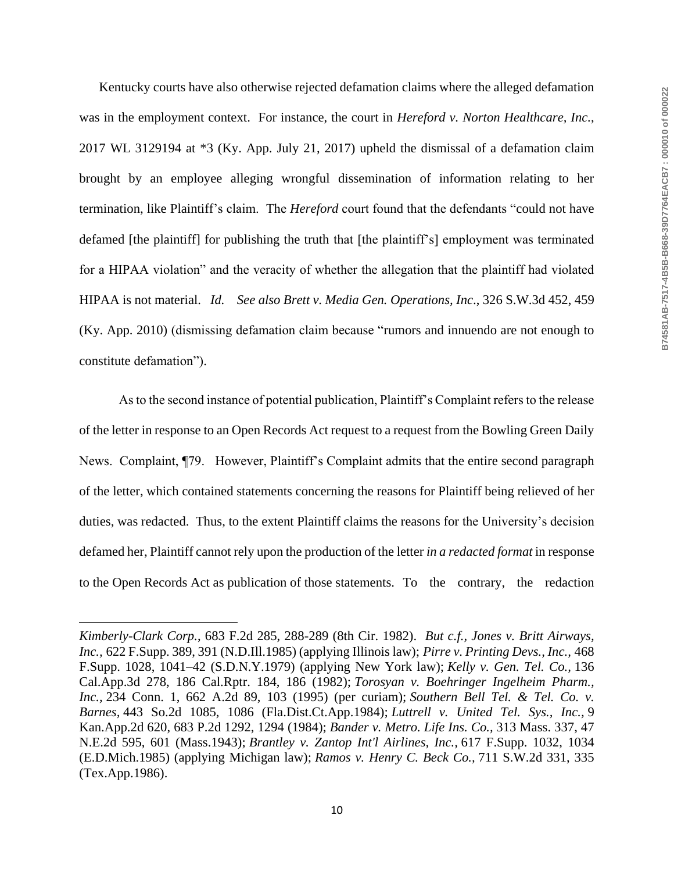Kentucky courts have also otherwise rejected defamation claims where the alleged defamation was in the employment context. For instance, the court in *Hereford v. Norton Healthcare, Inc.*, 2017 WL 3129194 at \*3 (Ky. App. July 21, 2017) upheld the dismissal of a defamation claim brought by an employee alleging wrongful dissemination of information relating to her termination, like Plaintiff's claim. The *Hereford* court found that the defendants "could not have defamed [the plaintiff] for publishing the truth that [the plaintiff's] employment was terminated for a HIPAA violation" and the veracity of whether the allegation that the plaintiff had violated HIPAA is not material. *Id. See also Brett v. Media Gen. Operations, Inc*., 326 S.W.3d 452, 459 (Ky. App. 2010) (dismissing defamation claim because "rumors and innuendo are not enough to constitute defamation").

As to the second instance of potential publication, Plaintiff's Complaint refers to the release of the letter in response to an Open Records Act request to a request from the Bowling Green Daily News. Complaint, ¶79. However, Plaintiff's Complaint admits that the entire second paragraph of the letter, which contained statements concerning the reasons for Plaintiff being relieved of her duties, was redacted. Thus, to the extent Plaintiff claims the reasons for the University's decision defamed her, Plaintiff cannot rely upon the production of the letter *in a redacted format* in response to the Open Records Act as publication of those statements. To the contrary, the redaction

 $\overline{a}$ 

*Kimberly-Clark Corp.*, 683 F.2d 285, 288-289 (8th Cir. 1982). *But c.f., Jones v. Britt Airways, Inc.,* 622 F.Supp. 389, 391 (N.D.Ill.1985) (applying Illinois law); *Pirre v. Printing Devs., Inc.,* 468 F.Supp. 1028, 1041–42 (S.D.N.Y.1979) (applying New York law); *Kelly v. Gen. Tel. Co.,* 136 Cal.App.3d 278, 186 Cal.Rptr. 184, 186 (1982); *Torosyan v. Boehringer Ingelheim Pharm., Inc.,* 234 Conn. 1, 662 A.2d 89, 103 (1995) (per curiam); *Southern Bell Tel. & Tel. Co. v. Barnes,* 443 So.2d 1085, 1086 (Fla.Dist.Ct.App.1984); *Luttrell v. United Tel. Sys., Inc.,* 9 Kan.App.2d 620, 683 P.2d 1292, 1294 (1984); *Bander v. Metro. Life Ins. Co.,* 313 Mass. 337, 47 N.E.2d 595, 601 (Mass.1943); *Brantley v. Zantop Int'l Airlines, Inc.,* 617 F.Supp. 1032, 1034 (E.D.Mich.1985) (applying Michigan law); *Ramos v. Henry C. Beck Co.,* 711 S.W.2d 331, 335 (Tex.App.1986).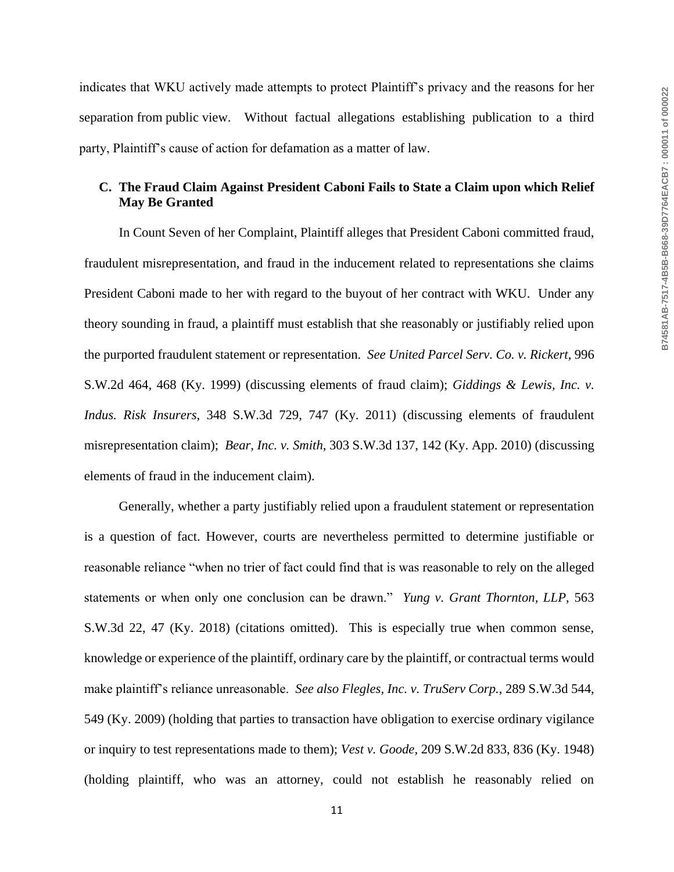indicates that WKU actively made attempts to protect Plaintiff's privacy and the reasons for her separation from public view. Without factual allegations establishing publication to a third party, Plaintiff's cause of action for defamation as a matter of law.

## **C. The Fraud Claim Against President Caboni Fails to State a Claim upon which Relief May Be Granted**

In Count Seven of her Complaint, Plaintiff alleges that President Caboni committed fraud, fraudulent misrepresentation, and fraud in the inducement related to representations she claims President Caboni made to her with regard to the buyout of her contract with WKU. Under any theory sounding in fraud, a plaintiff must establish that she reasonably or justifiably relied upon the purported fraudulent statement or representation. *See United Parcel Serv. Co. v. Rickert*, 996 S.W.2d 464, 468 (Ky. 1999) (discussing elements of fraud claim); *Giddings & Lewis, Inc. v. Indus. Risk Insurers*, 348 S.W.3d 729, 747 (Ky. 2011) (discussing elements of fraudulent misrepresentation claim); *Bear, Inc. v. Smith*, 303 S.W.3d 137, 142 (Ky. App. 2010) (discussing elements of fraud in the inducement claim).

Generally, whether a party justifiably relied upon a fraudulent statement or representation is a question of fact. However, courts are nevertheless permitted to determine justifiable or reasonable reliance "when no trier of fact could find that is was reasonable to rely on the alleged statements or when only one conclusion can be drawn." *Yung v. Grant Thornton, LLP*, 563 S.W.3d 22, 47 (Ky. 2018) (citations omitted). This is especially true when common sense, knowledge or experience of the plaintiff, ordinary care by the plaintiff, or contractual terms would make plaintiff's reliance unreasonable. *See also Flegles, Inc. v. TruServ Corp.*, 289 S.W.3d 544, 549 (Ky. 2009) (holding that parties to transaction have obligation to exercise ordinary vigilance or inquiry to test representations made to them); *Vest v. Goode*, 209 S.W.2d 833, 836 (Ky. 1948) (holding plaintiff, who was an attorney, could not establish he reasonably relied on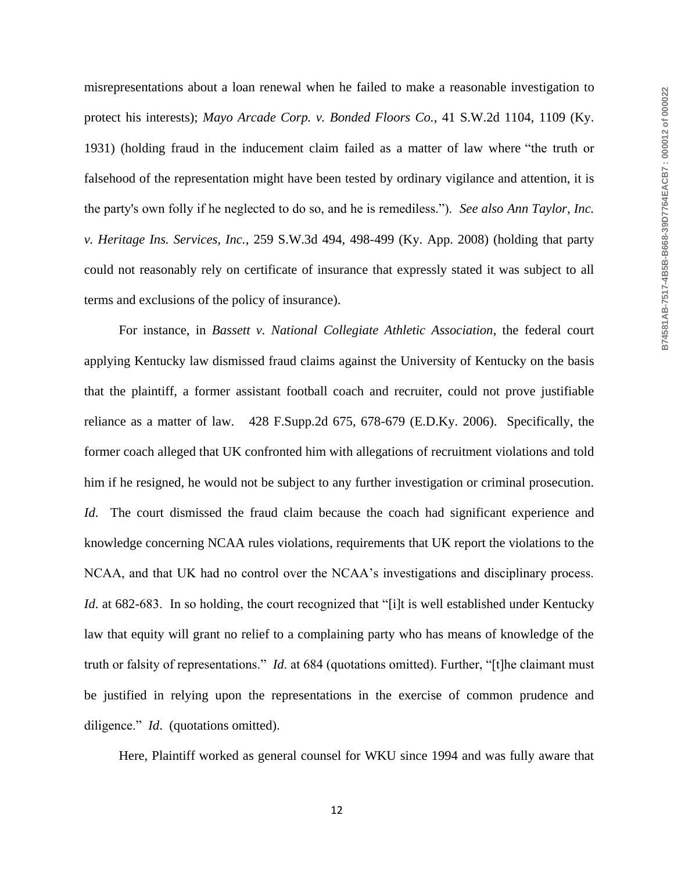misrepresentations about a loan renewal when he failed to make a reasonable investigation to protect his interests); *Mayo Arcade Corp. v. Bonded Floors Co.*, 41 S.W.2d 1104, 1109 (Ky. 1931) (holding fraud in the inducement claim failed as a matter of law where "the truth or falsehood of the representation might have been tested by ordinary vigilance and attention, it is the party's own folly if he neglected to do so, and he is remediless."). *See also Ann Taylor, Inc. v. Heritage Ins. Services, Inc.*, 259 S.W.3d 494, 498-499 (Ky. App. 2008) (holding that party could not reasonably rely on certificate of insurance that expressly stated it was subject to all terms and exclusions of the policy of insurance).

For instance, in *Bassett v. National Collegiate Athletic Association*, the federal court applying Kentucky law dismissed fraud claims against the University of Kentucky on the basis that the plaintiff, a former assistant football coach and recruiter, could not prove justifiable reliance as a matter of law. 428 F.Supp.2d 675, 678-679 (E.D.Ky. 2006). Specifically, the former coach alleged that UK confronted him with allegations of recruitment violations and told him if he resigned, he would not be subject to any further investigation or criminal prosecution. *Id*. The court dismissed the fraud claim because the coach had significant experience and knowledge concerning NCAA rules violations, requirements that UK report the violations to the NCAA, and that UK had no control over the NCAA's investigations and disciplinary process. *Id.* at 682-683. In so holding, the court recognized that "[i]t is well established under Kentucky law that equity will grant no relief to a complaining party who has means of knowledge of the truth or falsity of representations." *Id*. at 684 (quotations omitted). Further, "[t]he claimant must be justified in relying upon the representations in the exercise of common prudence and diligence." *Id*. (quotations omitted).

Here, Plaintiff worked as general counsel for WKU since 1994 and was fully aware that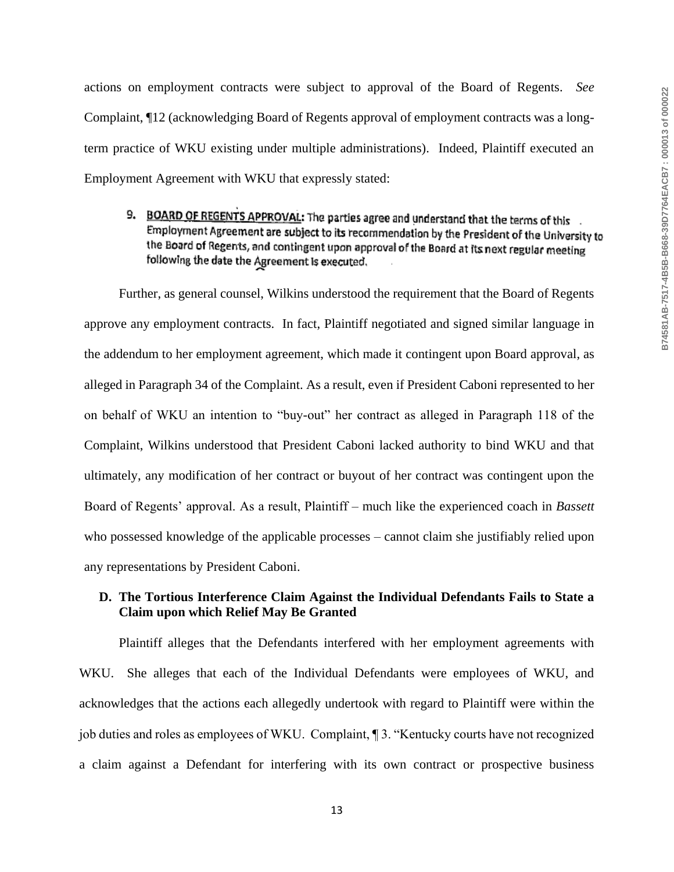actions on employment contracts were subject to approval of the Board of Regents. *See*  Complaint, ¶12 (acknowledging Board of Regents approval of employment contracts was a longterm practice of WKU existing under multiple administrations). Indeed, Plaintiff executed an Employment Agreement with WKU that expressly stated:

9. BOARD OF REGENTS APPROVAL: The parties agree and understand that the terms of this Employment Agreement are subject to its recommendation by the President of the University to the Board of Regents, and contingent upon approval of the Board at its next regular meeting following the date the Agreement is executed.

Further, as general counsel, Wilkins understood the requirement that the Board of Regents approve any employment contracts. In fact, Plaintiff negotiated and signed similar language in the addendum to her employment agreement, which made it contingent upon Board approval, as alleged in Paragraph 34 of the Complaint. As a result, even if President Caboni represented to her on behalf of WKU an intention to "buy-out" her contract as alleged in Paragraph 118 of the Complaint, Wilkins understood that President Caboni lacked authority to bind WKU and that ultimately, any modification of her contract or buyout of her contract was contingent upon the Board of Regents' approval. As a result, Plaintiff – much like the experienced coach in *Bassett* who possessed knowledge of the applicable processes – cannot claim she justifiably relied upon any representations by President Caboni.

### **D. The Tortious Interference Claim Against the Individual Defendants Fails to State a Claim upon which Relief May Be Granted**

Plaintiff alleges that the Defendants interfered with her employment agreements with WKU. She alleges that each of the Individual Defendants were employees of WKU, and acknowledges that the actions each allegedly undertook with regard to Plaintiff were within the job duties and roles as employees of WKU. Complaint, ¶ 3. "Kentucky courts have not recognized a claim against a Defendant for interfering with its own contract or prospective business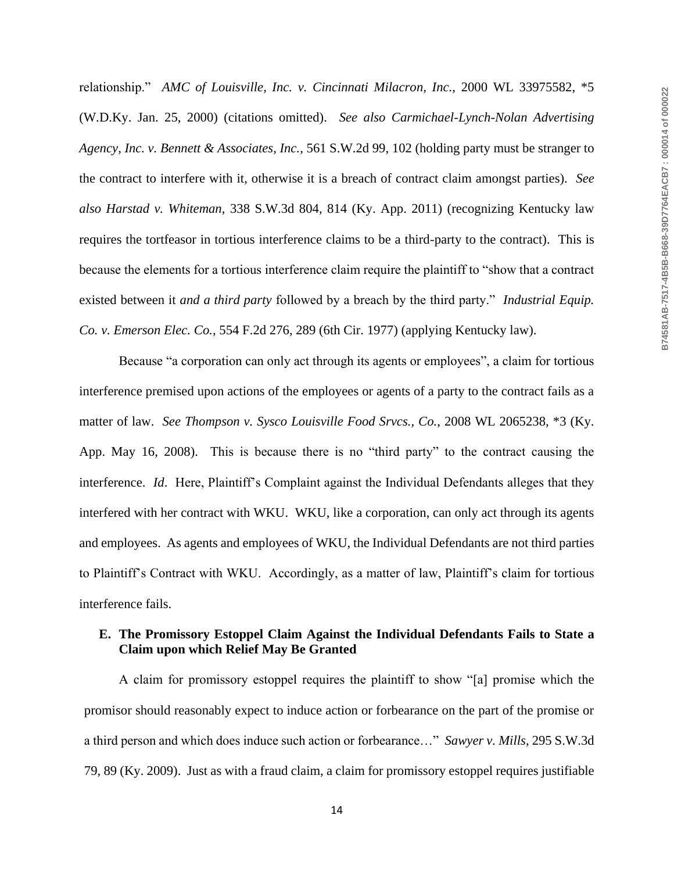relationship." *AMC of Louisville, Inc. v. Cincinnati Milacron, Inc.*, 2000 WL 33975582, \*5 (W.D.Ky. Jan. 25, 2000) (citations omitted). *See also Carmichael-Lynch-Nolan Advertising Agency, Inc. v. Bennett & Associates, Inc.*, 561 S.W.2d 99, 102 (holding party must be stranger to the contract to interfere with it, otherwise it is a breach of contract claim amongst parties). *See also Harstad v. Whiteman*, 338 S.W.3d 804, 814 (Ky. App. 2011) (recognizing Kentucky law requires the tortfeasor in tortious interference claims to be a third-party to the contract). This is because the elements for a tortious interference claim require the plaintiff to "show that a contract existed between it *and a third party* followed by a breach by the third party." *Industrial Equip. Co. v. Emerson Elec. Co.*, 554 F.2d 276, 289 (6th Cir. 1977) (applying Kentucky law).

Because "a corporation can only act through its agents or employees", a claim for tortious interference premised upon actions of the employees or agents of a party to the contract fails as a matter of law. *See Thompson v. Sysco Louisville Food Srvcs., Co.*, 2008 WL 2065238, \*3 (Ky. App. May 16, 2008). This is because there is no "third party" to the contract causing the interference. *Id*. Here, Plaintiff's Complaint against the Individual Defendants alleges that they interfered with her contract with WKU. WKU, like a corporation, can only act through its agents and employees. As agents and employees of WKU, the Individual Defendants are not third parties to Plaintiff's Contract with WKU. Accordingly, as a matter of law, Plaintiff's claim for tortious interference fails.

### **E. The Promissory Estoppel Claim Against the Individual Defendants Fails to State a Claim upon which Relief May Be Granted**

A claim for promissory estoppel requires the plaintiff to show "[a] promise which the promisor should reasonably expect to induce action or forbearance on the part of the promise or a third person and which does induce such action or forbearance…" *Sawyer v. Mills*, 295 S.W.3d 79, 89 (Ky. 2009). Just as with a fraud claim, a claim for promissory estoppel requires justifiable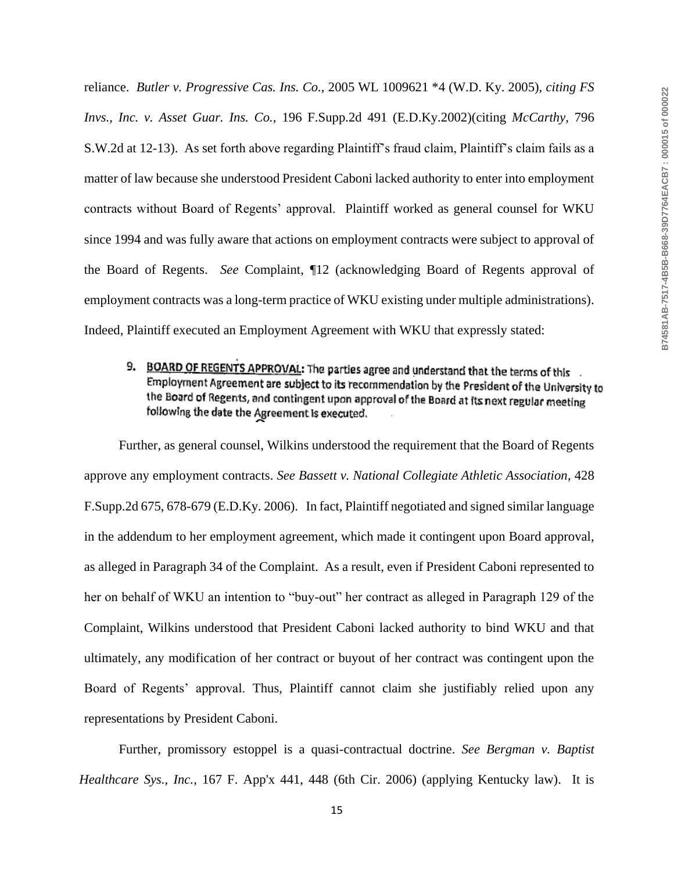reliance. *Butler v. Progressive Cas. Ins. Co.,* 2005 WL 1009621 \*4 (W.D. Ky. 2005), *citing FS Invs., Inc. v. Asset Guar. Ins. Co.,* 196 F.Supp.2d 491 (E.D.Ky.2002)(citing *McCarthy,* 796 S.W.2d at 12-13). As set forth above regarding Plaintiff's fraud claim, Plaintiff's claim fails as a matter of law because she understood President Caboni lacked authority to enter into employment contracts without Board of Regents' approval. Plaintiff worked as general counsel for WKU since 1994 and was fully aware that actions on employment contracts were subject to approval of the Board of Regents. *See* Complaint, ¶12 (acknowledging Board of Regents approval of employment contracts was a long-term practice of WKU existing under multiple administrations). Indeed, Plaintiff executed an Employment Agreement with WKU that expressly stated:

9. BOARD OF REGENTS APPROVAL: The parties agree and understand that the terms of this Employment Agreement are subject to its recommendation by the President of the University to the Board of Regents, and contingent upon approval of the Board at its next regular meeting following the date the Agreement is executed.

Further, as general counsel, Wilkins understood the requirement that the Board of Regents approve any employment contracts. *See Bassett v. National Collegiate Athletic Association*, 428 F.Supp.2d 675, 678-679 (E.D.Ky. 2006). In fact, Plaintiff negotiated and signed similar language in the addendum to her employment agreement, which made it contingent upon Board approval, as alleged in Paragraph 34 of the Complaint. As a result, even if President Caboni represented to her on behalf of WKU an intention to "buy-out" her contract as alleged in Paragraph 129 of the Complaint, Wilkins understood that President Caboni lacked authority to bind WKU and that ultimately, any modification of her contract or buyout of her contract was contingent upon the Board of Regents' approval. Thus, Plaintiff cannot claim she justifiably relied upon any representations by President Caboni.

Further, promissory estoppel is a quasi-contractual doctrine. *See Bergman v. Baptist Healthcare Sys., Inc.*, 167 F. App'x 441, 448 (6th Cir. 2006) (applying Kentucky law). It is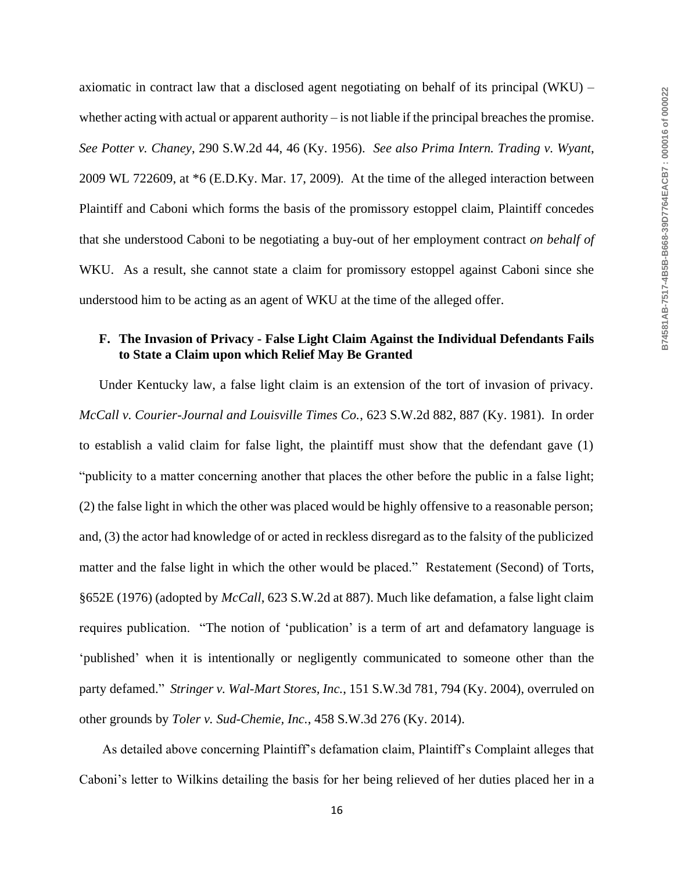axiomatic in contract law that a disclosed agent negotiating on behalf of its principal (WKU) – whether acting with actual or apparent authority – is not liable if the principal breaches the promise. *See Potter v. Chaney*, 290 S.W.2d 44, 46 (Ky. 1956). *See also Prima Intern. Trading v. Wyant*, 2009 WL 722609, at \*6 (E.D.Ky. Mar. 17, 2009). At the time of the alleged interaction between Plaintiff and Caboni which forms the basis of the promissory estoppel claim, Plaintiff concedes that she understood Caboni to be negotiating a buy-out of her employment contract *on behalf of* WKU. As a result, she cannot state a claim for promissory estoppel against Caboni since she understood him to be acting as an agent of WKU at the time of the alleged offer.

# **F. The Invasion of Privacy - False Light Claim Against the Individual Defendants Fails to State a Claim upon which Relief May Be Granted**

Under Kentucky law, a false light claim is an extension of the tort of invasion of privacy. *McCall v. Courier-Journal and Louisville Times Co.*, 623 S.W.2d 882, 887 (Ky. 1981). In order to establish a valid claim for false light, the plaintiff must show that the defendant gave (1) "publicity to a matter concerning another that places the other before the public in a false light; (2) the false light in which the other was placed would be highly offensive to a reasonable person; and, (3) the actor had knowledge of or acted in reckless disregard as to the falsity of the publicized matter and the false light in which the other would be placed." Restatement (Second) of Torts, §652E (1976) (adopted by *McCall*, 623 S.W.2d at 887). Much like defamation, a false light claim requires publication. "The notion of 'publication' is a term of art and defamatory language is 'published' when it is intentionally or negligently communicated to someone other than the party defamed." *Stringer v. Wal-Mart Stores, Inc.*, 151 S.W.3d 781, 794 (Ky. 2004), overruled on other grounds by *Toler v. Sud-Chemie, Inc.*, 458 S.W.3d 276 (Ky. 2014).

As detailed above concerning Plaintiff's defamation claim, Plaintiff's Complaint alleges that Caboni's letter to Wilkins detailing the basis for her being relieved of her duties placed her in a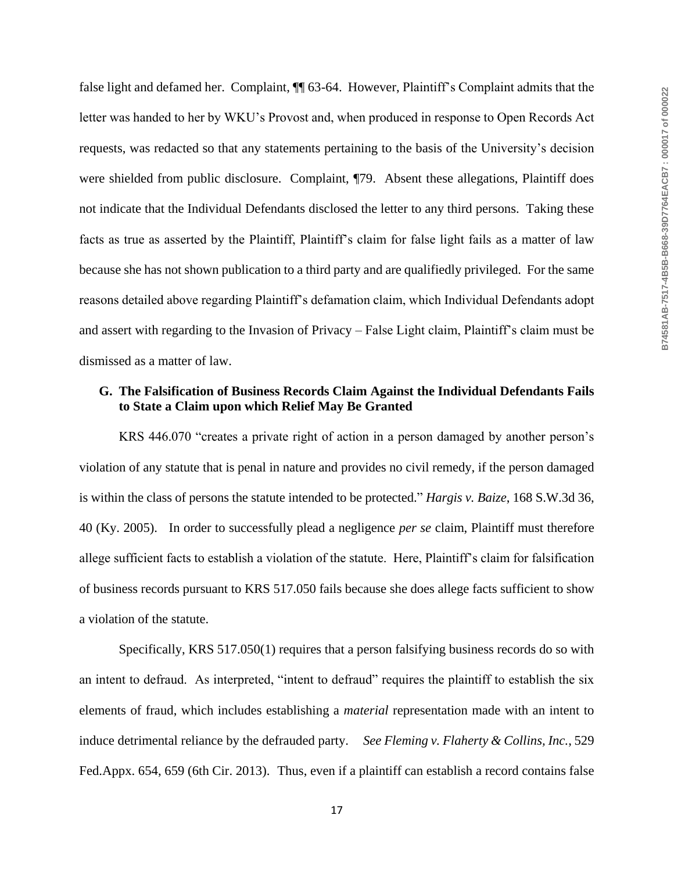false light and defamed her. Complaint, ¶¶ 63-64. However, Plaintiff's Complaint admits that the letter was handed to her by WKU's Provost and, when produced in response to Open Records Act requests, was redacted so that any statements pertaining to the basis of the University's decision were shielded from public disclosure. Complaint, ¶79. Absent these allegations, Plaintiff does not indicate that the Individual Defendants disclosed the letter to any third persons. Taking these facts as true as asserted by the Plaintiff, Plaintiff's claim for false light fails as a matter of law because she has not shown publication to a third party and are qualifiedly privileged. For the same reasons detailed above regarding Plaintiff's defamation claim, which Individual Defendants adopt and assert with regarding to the Invasion of Privacy – False Light claim, Plaintiff's claim must be dismissed as a matter of law.

## **G. The Falsification of Business Records Claim Against the Individual Defendants Fails to State a Claim upon which Relief May Be Granted**

KRS 446.070 "creates a private right of action in a person damaged by another person's violation of any statute that is penal in nature and provides no civil remedy, if the person damaged is within the class of persons the statute intended to be protected." *Hargis v. Baize*, 168 S.W.3d 36, 40 (Ky. 2005). In order to successfully plead a negligence *per se* claim, Plaintiff must therefore allege sufficient facts to establish a violation of the statute. Here, Plaintiff's claim for falsification of business records pursuant to KRS 517.050 fails because she does allege facts sufficient to show a violation of the statute.

Specifically, KRS 517.050(1) requires that a person falsifying business records do so with an intent to defraud. As interpreted, "intent to defraud" requires the plaintiff to establish the six elements of fraud, which includes establishing a *material* representation made with an intent to induce detrimental reliance by the defrauded party. *See Fleming v. Flaherty & Collins, Inc.*, 529 Fed.Appx. 654, 659 (6th Cir. 2013). Thus, even if a plaintiff can establish a record contains false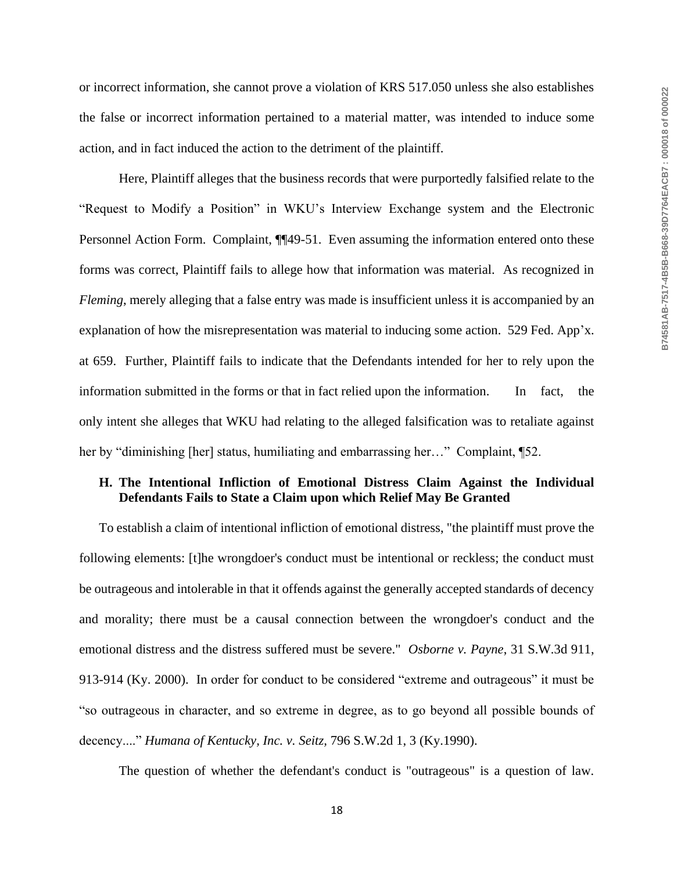or incorrect information, she cannot prove a violation of KRS 517.050 unless she also establishes the false or incorrect information pertained to a material matter, was intended to induce some action, and in fact induced the action to the detriment of the plaintiff.

Here, Plaintiff alleges that the business records that were purportedly falsified relate to the "Request to Modify a Position" in WKU's Interview Exchange system and the Electronic Personnel Action Form. Complaint, ¶¶49-51. Even assuming the information entered onto these forms was correct, Plaintiff fails to allege how that information was material. As recognized in *Fleming*, merely alleging that a false entry was made is insufficient unless it is accompanied by an explanation of how the misrepresentation was material to inducing some action. 529 Fed. App'x. at 659. Further, Plaintiff fails to indicate that the Defendants intended for her to rely upon the information submitted in the forms or that in fact relied upon the information. In fact, the only intent she alleges that WKU had relating to the alleged falsification was to retaliate against her by "diminishing [her] status, humiliating and embarrassing her..." Complaint, [52.

### **H. The Intentional Infliction of Emotional Distress Claim Against the Individual Defendants Fails to State a Claim upon which Relief May Be Granted**

To establish a claim of intentional infliction of emotional distress, "the plaintiff must prove the following elements: [t]he wrongdoer's conduct must be intentional or reckless; the conduct must be outrageous and intolerable in that it offends against the generally accepted standards of decency and morality; there must be a causal connection between the wrongdoer's conduct and the emotional distress and the distress suffered must be severe." *Osborne v. Payne*, 31 S.W.3d 911, 913-914 (Ky. 2000). In order for conduct to be considered "extreme and outrageous" it must be "so outrageous in character, and so extreme in degree, as to go beyond all possible bounds of decency...." *Humana of Kentucky, Inc. v. Seitz,* 796 S.W.2d 1, 3 (Ky.1990).

The question of whether the defendant's conduct is "outrageous" is a question of law.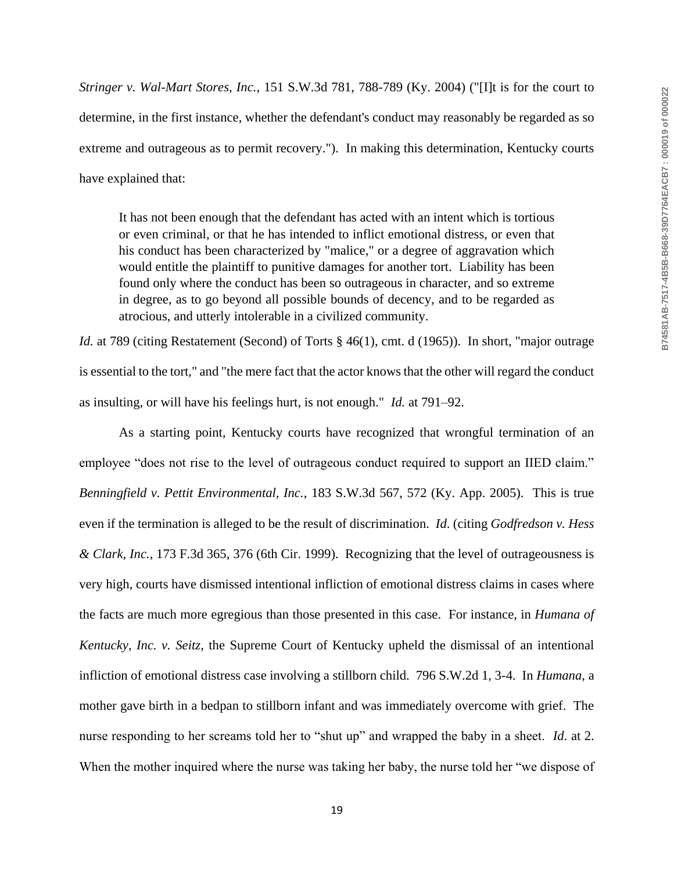*Stringer v. Wal-Mart Stores, Inc.*, 151 S.W.3d 781, 788-789 (Ky. 2004) ("[I]t is for the court to determine, in the first instance, whether the defendant's conduct may reasonably be regarded as so extreme and outrageous as to permit recovery."). In making this determination, Kentucky courts have explained that:

It has not been enough that the defendant has acted with an intent which is tortious or even criminal, or that he has intended to inflict emotional distress, or even that his conduct has been characterized by "malice," or a degree of aggravation which would entitle the plaintiff to punitive damages for another tort. Liability has been found only where the conduct has been so outrageous in character, and so extreme in degree, as to go beyond all possible bounds of decency, and to be regarded as atrocious, and utterly intolerable in a civilized community.

*Id.* at 789 (citing Restatement (Second) of Torts § 46(1), cmt. d (1965)). In short, "major outrage is essential to the tort," and "the mere fact that the actor knows that the other will regard the conduct as insulting, or will have his feelings hurt, is not enough." *Id.* at 791–92.

As a starting point, Kentucky courts have recognized that wrongful termination of an employee "does not rise to the level of outrageous conduct required to support an IIED claim." *Benningfield v. Pettit Environmental, Inc.*, 183 S.W.3d 567, 572 (Ky. App. 2005). This is true even if the termination is alleged to be the result of discrimination. *Id*. (citing *Godfredson v. Hess & Clark, Inc.*, 173 F.3d 365, 376 (6th Cir. 1999). Recognizing that the level of outrageousness is very high, courts have dismissed intentional infliction of emotional distress claims in cases where the facts are much more egregious than those presented in this case. For instance, in *Humana of Kentucky, Inc. v. Seitz*, the Supreme Court of Kentucky upheld the dismissal of an intentional infliction of emotional distress case involving a stillborn child. 796 S.W.2d 1, 3-4. In *Humana*, a mother gave birth in a bedpan to stillborn infant and was immediately overcome with grief. The nurse responding to her screams told her to "shut up" and wrapped the baby in a sheet. *Id*. at 2. When the mother inquired where the nurse was taking her baby, the nurse told her "we dispose of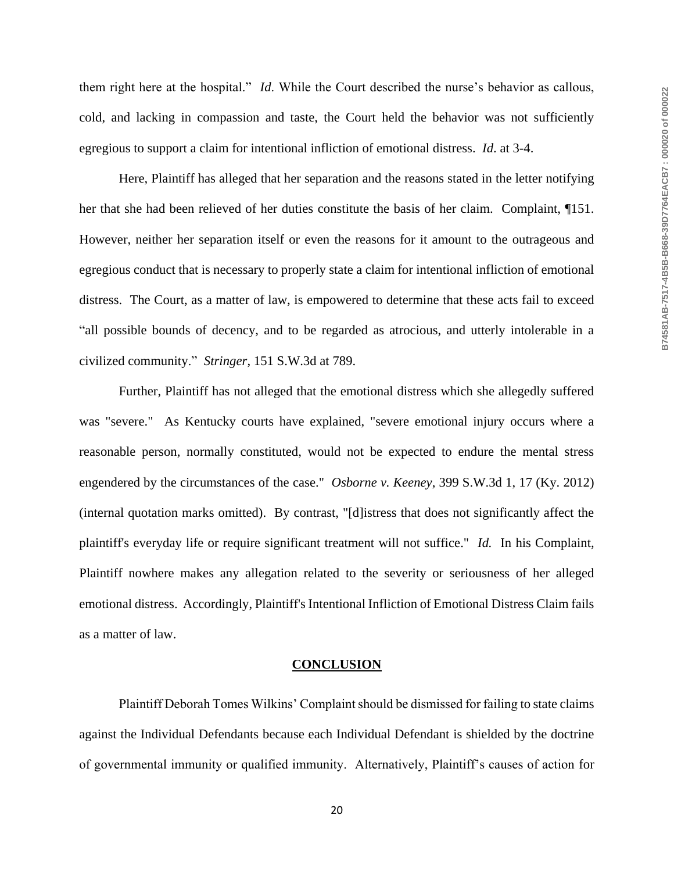them right here at the hospital." *Id*. While the Court described the nurse's behavior as callous, cold, and lacking in compassion and taste, the Court held the behavior was not sufficiently egregious to support a claim for intentional infliction of emotional distress. *Id*. at 3-4.

Here, Plaintiff has alleged that her separation and the reasons stated in the letter notifying her that she had been relieved of her duties constitute the basis of her claim. Complaint, ¶151. However, neither her separation itself or even the reasons for it amount to the outrageous and egregious conduct that is necessary to properly state a claim for intentional infliction of emotional distress. The Court, as a matter of law, is empowered to determine that these acts fail to exceed "all possible bounds of decency, and to be regarded as atrocious, and utterly intolerable in a civilized community." *Stringer*, 151 S.W.3d at 789.

Further, Plaintiff has not alleged that the emotional distress which she allegedly suffered was "severe." As Kentucky courts have explained, "severe emotional injury occurs where a reasonable person, normally constituted, would not be expected to endure the mental stress engendered by the circumstances of the case." *Osborne v. Keeney*, 399 S.W.3d 1, 17 (Ky. 2012) (internal quotation marks omitted). By contrast, "[d]istress that does not significantly affect the plaintiff's everyday life or require significant treatment will not suffice." *Id.* In his Complaint, Plaintiff nowhere makes any allegation related to the severity or seriousness of her alleged emotional distress. Accordingly, Plaintiff's Intentional Infliction of Emotional Distress Claim fails as a matter of law.

#### **CONCLUSION**

Plaintiff Deborah Tomes Wilkins' Complaint should be dismissed for failing to state claims against the Individual Defendants because each Individual Defendant is shielded by the doctrine of governmental immunity or qualified immunity. Alternatively, Plaintiff's causes of action for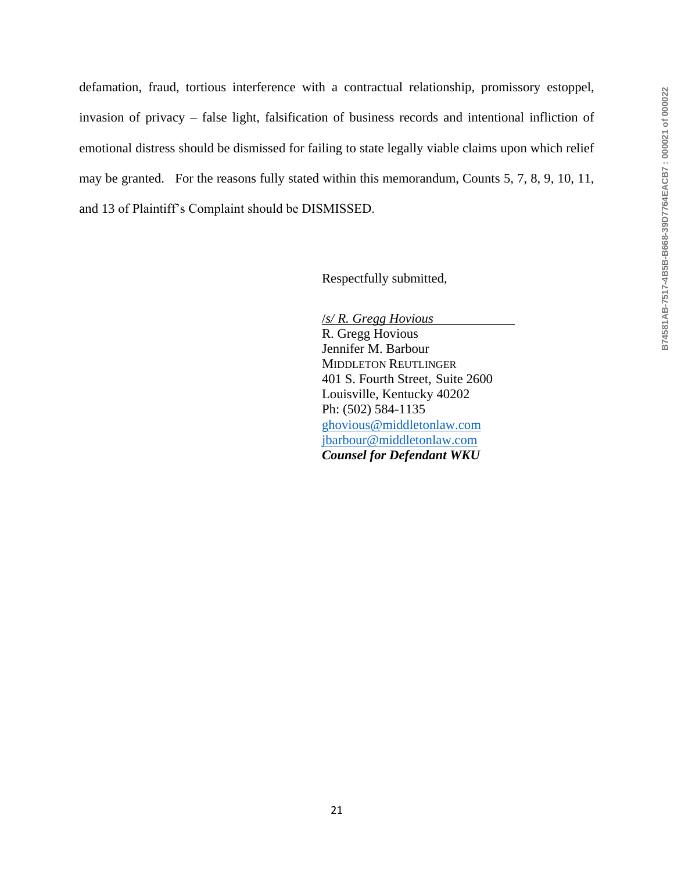defamation, fraud, tortious interference with a contractual relationship, promissory estoppel, invasion of privacy – false light, falsification of business records and intentional infliction of emotional distress should be dismissed for failing to state legally viable claims upon which relief may be granted. For the reasons fully stated within this memorandum, Counts 5, 7, 8, 9, 10, 11, and 13 of Plaintiff's Complaint should be DISMISSED.

Respectfully submitted,

/*s/ R. Gregg Hovious* R. Gregg Hovious Jennifer M. Barbour MIDDLETON REUTLINGER 401 S. Fourth Street, Suite 2600 Louisville, Kentucky 40202 Ph: (502) 584-1135 [ghovious@middletonlaw.com](mailto:ghovious@middletonlaw.com) [jbarbour@middletonlaw.com](mailto:jbarbour@middletonlaw.com) *Counsel for Defendant WKU*